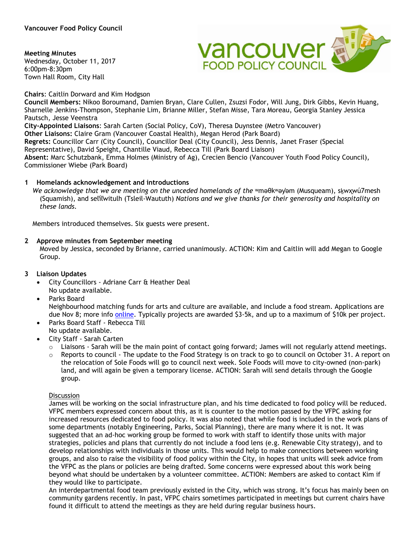### **Meeting Minutes**

Wednesday, October 11, 2017 6:00pm-8:30pm Town Hall Room, City Hall



**Chairs**: Caitlin Dorward and Kim Hodgson

**Council Members:** Nikoo Boroumand, Damien Bryan, Clare Cullen, Zsuzsi Fodor, Will Jung, Dirk Gibbs, Kevin Huang, Sharnelle Jenkins-Thompson, Stephanie Lim, Brianne Miller, Stefan Misse, Tara Moreau, Georgia Stanley Jessica Pautsch, Jesse Veenstra **City-Appointed Liaisons**: Sarah Carten (Social Policy, CoV), Theresa Duynstee (Metro Vancouver) **Other Liaisons:** Claire Gram (Vancouver Coastal Health), Megan Herod (Park Board) **Regrets:** Councillor Carr (City Council), Councillor Deal (City Council), Jess Dennis, Janet Fraser (Special Representative), David Speight, Chantille Viaud, Rebecca Till (Park Board Liaison)

**Absent:** Marc Schutzbank, Emma Holmes (Ministry of Ag), Crecien Bencio (Vancouver Youth Food Policy Council), Commissioner Wiebe (Park Board)

## **1 Homelands acknowledgement and introductions**

 *We acknowledge that we are meeting on the unceded homelands of the* ʷməθkʷəy̓əm (Musqueam), sḵwx̱wú7mesh (Squamish), and sel̓íl̓witulh (Tsleil-Waututh) *Nations and we give thanks for their generosity and hospitality on these lands.*

Members introduced themselves. Six guests were present.

### **2 Approve minutes from September meeting**

Moved by Jessica, seconded by Brianne, carried unanimously. ACTION: Kim and Caitlin will add Megan to Google Group.

## **3 Liaison Updates**

- City Councillors Adriane Carr & Heather Deal No update available.
- Parks Board

Neighbourhood matching funds for arts and culture are available, and include a food stream. Applications are due Nov 8; more info [online.](http://vancouver.ca/people-programs/neighbourhood-matching-fund.aspx) Typically projects are awarded \$3-5k, and up to a maximum of \$10k per project.

- Parks Board Staff Rebecca Till No update available.
- City Staff Sarah Carten
	- $\circ$  Liaisons Sarah will be the main point of contact going forward; James will not regularly attend meetings.
	- Reports to council The update to the Food Strategy is on track to go to council on October 31. A report on the relocation of Sole Foods will go to council next week. Sole Foods will move to city-owned (non-park) land, and will again be given a temporary license. ACTION: Sarah will send details through the Google group.

#### **Discussion**

James will be working on the social infrastructure plan, and his time dedicated to food policy will be reduced. VFPC members expressed concern about this, as it is counter to the motion passed by the VFPC asking for increased resources dedicated to food policy. It was also noted that while food is included in the work plans of some departments (notably Engineering, Parks, Social Planning), there are many where it is not. It was suggested that an ad-hoc working group be formed to work with staff to identify those units with major strategies, policies and plans that currently do not include a food lens (e.g. Renewable City strategy), and to develop relationships with individuals in those units. This would help to make connections between working groups, and also to raise the visibility of food policy within the City, in hopes that units will seek advice from the VFPC as the plans or policies are being drafted. Some concerns were expressed about this work being beyond what should be undertaken by a volunteer committee. ACTION: Members are asked to contact Kim if they would like to participate.

An interdepartmental food team previously existed in the City, which was strong. It's focus has mainly been on community gardens recently. In past, VFPC chairs sometimes participated in meetings but current chairs have found it difficult to attend the meetings as they are held during regular business hours.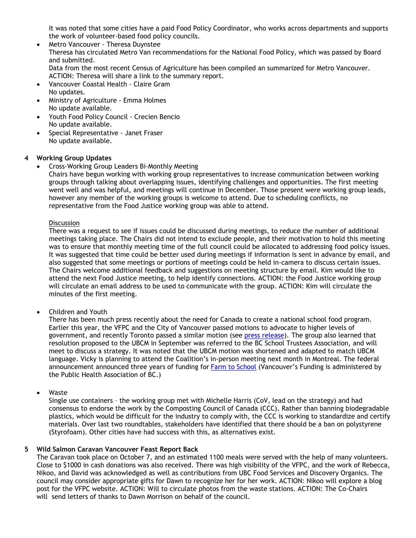It was noted that some cities have a paid Food Policy Coordinator, who works across departments and supports the work of volunteer-based food policy councils.

- Metro Vancouver Theresa Duynstee Theresa has circulated Metro Van recommendations for the National Food Policy, which was passed by Board and submitted. Data from the most recent Census of Agriculture has been compiled an summarized for Metro Vancouver. ACTION: Theresa will share a link to the summary report.
- Vancouver Coastal Health Claire Gram No updates.
- Ministry of Agriculture Emma Holmes No update available.
- Youth Food Policy Council Crecien Bencio No update available.
- Special Representative Janet Fraser No update available.

# **4 Working Group Updates**

• Cross-Working Group Leaders Bi-Monthly Meeting

Chairs have begun working with working group representatives to increase communication between working groups through talking about overlapping issues, identifying challenges and opportunities. The first meeting went well and was helpful, and meetings will continue in December. Those present were working group leads, however any member of the working groups is welcome to attend. Due to scheduling conflicts, no representative from the Food Justice working group was able to attend.

## Discussion

There was a request to see if issues could be discussed during meetings, to reduce the number of additional meetings taking place. The Chairs did not intend to exclude people, and their motivation to hold this meeting was to ensure that monthly meeting time of the full council could be allocated to addressing food policy issues. It was suggested that time could be better used during meetings if information is sent in advance by email, and also suggested that some meetings or portions of meetings could be held in-camera to discuss certain issues. The Chairs welcome additional feedback and suggestions on meeting structure by email. Kim would like to attend the next Food Justice meeting, to help identify connections. ACTION: the Food Justice working group will circulate an email address to be used to communicate with the group. ACTION: Kim will circulate the minutes of the first meeting.

• Children and Youth

There has been much press recently about the need for Canada to create a national school food program. Earlier this year, the VFPC and the City of Vancouver passed motions to advocate to higher levels of government, and recently Toronto passed a similar motion (see [press release\)](https://foodsecurecanada.org/resources-news/news-media/press-releases/city-toronto-supports-national-school-food-program). The group also learned that resolution proposed to the UBCM in September was referred to the BC School Trustees Association, and will meet to discuss a strategy. It was noted that the UBCM motion was shortened and adapted to match UBCM language. Vicky is planning to attend the Coalition's in-person meeting next month in Montreal. The federal announcement announced three years of funding for [Farm to School](https://www.canada.ca/en/public-health/news/2017/10/government_of_canadasupportsnationalfarmtoschoolinitiative.html) (Vancouver's Funding is administered by the Public Health Association of BC.)

• Waste

Single use containers – the working group met with Michelle Harris (CoV, lead on the strategy) and had consensus to endorse the work by the Composting Council of Canada (CCC). Rather than banning biodegradable plastics, which would be difficult for the industry to comply with, the CCC is working to standardize and certify materials. Over last two roundtables, stakeholders have identified that there should be a ban on polystyrene (Styrofoam). Other cities have had success with this, as alternatives exist.

## **5 Wild Salmon Caravan Vancouver Feast Report Back**

The Caravan took place on October 7, and an estimated 1100 meals were served with the help of many volunteers. Close to \$1000 in cash donations was also received. There was high visibility of the VFPC, and the work of Rebecca, Nikoo, and David was acknowledged as well as contributions from UBC Food Services and Discovery Organics. The council may consider appropriate gifts for Dawn to recognize her for her work. ACTION: Nikoo will explore a blog post for the VFPC website. ACTION: Will to circulate photos from the waste stations. ACTION: The Co-Chairs will send letters of thanks to Dawn Morrison on behalf of the council.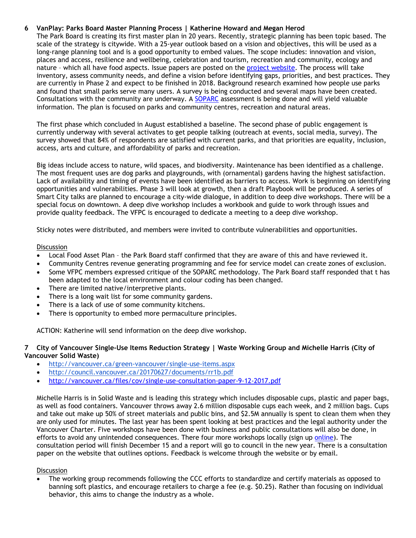## **6 VanPlay: Parks Board Master Planning Process | Katherine Howard and Megan Herod**

The Park Board is creating its first master plan in 20 years. Recently, strategic planning has been topic based. The scale of the strategy is citywide. With a 25-year outlook based on a vision and objectives, this will be used as a long-range planning tool and is a good opportunity to embed values. The scope includes: innovation and vision, places and access, resilience and wellbeing, celebration and tourism, recreation and community, ecology and nature – which all have food aspects. Issue papers are posted on the [project website.](http://vancouver.ca/parks-recreation-culture/vanplay-parks-and-recreation-strategy.aspx) The process will take inventory, assess community needs, and define a vision before identifying gaps, priorities, and best practices. They are currently in Phase 2 and expect to be finished in 2018. Background research examined how people use parks and found that small parks serve many users. A survey is being conducted and several maps have been created. Consultations with the community are underway. A [SOPARC](https://activelivingresearch.org/soparc-system-observing-play-and-recreation-communities) assessment is being done and will yield valuable information. The plan is focused on parks and community centres, recreation and natural areas.

The first phase which concluded in August established a baseline. The second phase of public engagement is currently underway with several activates to get people talking (outreach at events, social media, survey). The survey showed that 84% of respondents are satisfied with current parks, and that priorities are equality, inclusion, access, arts and culture, and affordability of parks and recreation.

Big ideas include access to nature, wild spaces, and biodiversity. Maintenance has been identified as a challenge. The most frequent uses are dog parks and playgrounds, with (ornamental) gardens having the highest satisfaction. Lack of availability and timing of events have been identified as barriers to access. Work is beginning on identifying opportunities and vulnerabilities. Phase 3 will look at growth, then a draft Playbook will be produced. A series of Smart City talks are planned to encourage a city-wide dialogue, in addition to deep dive workshops. There will be a special focus on downtown. A deep dive workshop includes a workbook and guide to work through issues and provide quality feedback. The VFPC is encouraged to dedicate a meeting to a deep dive workshop.

Sticky notes were distributed, and members were invited to contribute vulnerabilities and opportunities.

### **Discussion**

- Local Food Asset Plan the Park Board staff confirmed that they are aware of this and have reviewed it.
- Community Centres revenue generating programming and fee for service model can create zones of exclusion.
- Some VFPC members expressed critique of the SOPARC methodology. The Park Board staff responded that t has been adapted to the local environment and colour coding has been changed.
- There are limited native/interpretive plants.
- There is a long wait list for some community gardens.
- There is a lack of use of some community kitchens.
- There is opportunity to embed more permaculture principles.

ACTION: Katherine will send information on the deep dive workshop.

### **7 City of Vancouver Single-Use Items Reduction Strategy | Waste Working Group and Michelle Harris (City of Vancouver Solid Waste)**

- <http://vancouver.ca/green-vancouver/single-use-items.aspx>
- <http://council.vancouver.ca/20170627/documents/rr1b.pdf>
- <http://vancouver.ca/files/cov/single-use-consultation-paper-9-12-2017.pdf>

Michelle Harris is in Solid Waste and is leading this strategy which includes disposable cups, plastic and paper bags, as well as food containers. Vancouver throws away 2.6 million disposable cups each week, and 2 million bags. Cups and take out make up 50% of street materials and public bins, and \$2.5M annually is spent to clean them when they are only used for minutes. The last year has been spent looking at best practices and the legal authority under the Vancouver Charter. Five workshops have been done with business and public consultations will also be done, in efforts to avoid any unintended consequences. There four more workshops locally (sign up [online\)](http://vancouver.ca/green-vancouver/single-use-items.aspx). The consultation period will finish December 15 and a report will go to council in the new year. There is a consultation paper on the website that outlines options. Feedback is welcome through the website or by email.

## **Discussion**

• The working group recommends following the CCC efforts to standardize and certify materials as opposed to banning soft plastics, and encourage retailers to charge a fee (e.g. \$0.25). Rather than focusing on individual behavior, this aims to change the industry as a whole.